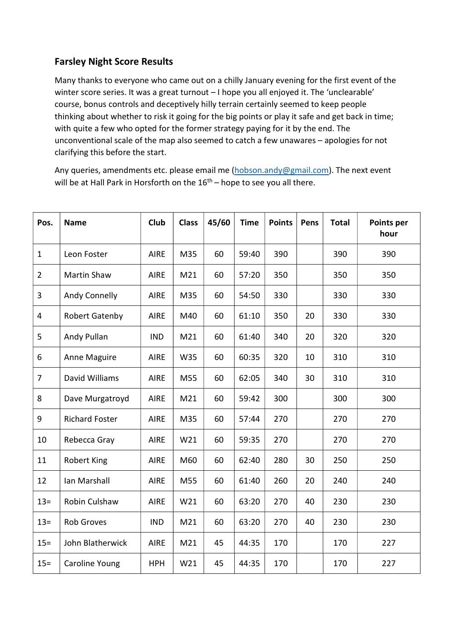## Farsley Night Score Results

Many thanks to everyone who came out on a chilly January evening for the first event of the winter score series. It was a great turnout - I hope you all enjoyed it. The 'unclearable' course, bonus controls and deceptively hilly terrain certainly seemed to keep people thinking about whether to risk it going for the big points or play it safe and get back in time; with quite a few who opted for the former strategy paying for it by the end. The unconventional scale of the map also seemed to catch a few unawares – apologies for not clarifying this before the start.

Any queries, amendments etc. please email me (hobson.andy@gmail.com). The next event will be at Hall Park in Horsforth on the  $16<sup>th</sup>$  – hope to see you all there.

| Pos.           | <b>Name</b>           | Club        | <b>Class</b> | 45/60 | <b>Time</b> | <b>Points</b> | Pens | <b>Total</b> | Points per<br>hour |
|----------------|-----------------------|-------------|--------------|-------|-------------|---------------|------|--------------|--------------------|
| $\mathbf{1}$   | Leon Foster           | <b>AIRE</b> | M35          | 60    | 59:40       | 390           |      | 390          | 390                |
| $\overline{2}$ | Martin Shaw           | <b>AIRE</b> | M21          | 60    | 57:20       | 350           |      | 350          | 350                |
| 3              | Andy Connelly         | <b>AIRE</b> | M35          | 60    | 54:50       | 330           |      | 330          | 330                |
| 4              | <b>Robert Gatenby</b> | <b>AIRE</b> | M40          | 60    | 61:10       | 350           | 20   | 330          | 330                |
| 5              | Andy Pullan           | <b>IND</b>  | M21          | 60    | 61:40       | 340           | 20   | 320          | 320                |
| 6              | Anne Maguire          | <b>AIRE</b> | W35          | 60    | 60:35       | 320           | 10   | 310          | 310                |
| $\overline{7}$ | David Williams        | <b>AIRE</b> | M55          | 60    | 62:05       | 340           | 30   | 310          | 310                |
| 8              | Dave Murgatroyd       | <b>AIRE</b> | M21          | 60    | 59:42       | 300           |      | 300          | 300                |
| 9              | <b>Richard Foster</b> | <b>AIRE</b> | M35          | 60    | 57:44       | 270           |      | 270          | 270                |
| 10             | Rebecca Gray          | <b>AIRE</b> | W21          | 60    | 59:35       | 270           |      | 270          | 270                |
| 11             | <b>Robert King</b>    | <b>AIRE</b> | M60          | 60    | 62:40       | 280           | 30   | 250          | 250                |
| 12             | Ian Marshall          | <b>AIRE</b> | M55          | 60    | 61:40       | 260           | 20   | 240          | 240                |
| $13 =$         | Robin Culshaw         | <b>AIRE</b> | W21          | 60    | 63:20       | 270           | 40   | 230          | 230                |
| $13 =$         | <b>Rob Groves</b>     | <b>IND</b>  | M21          | 60    | 63:20       | 270           | 40   | 230          | 230                |
| $15 =$         | John Blatherwick      | <b>AIRE</b> | M21          | 45    | 44:35       | 170           |      | 170          | 227                |
| $15 =$         | <b>Caroline Young</b> | <b>HPH</b>  | W21          | 45    | 44:35       | 170           |      | 170          | 227                |